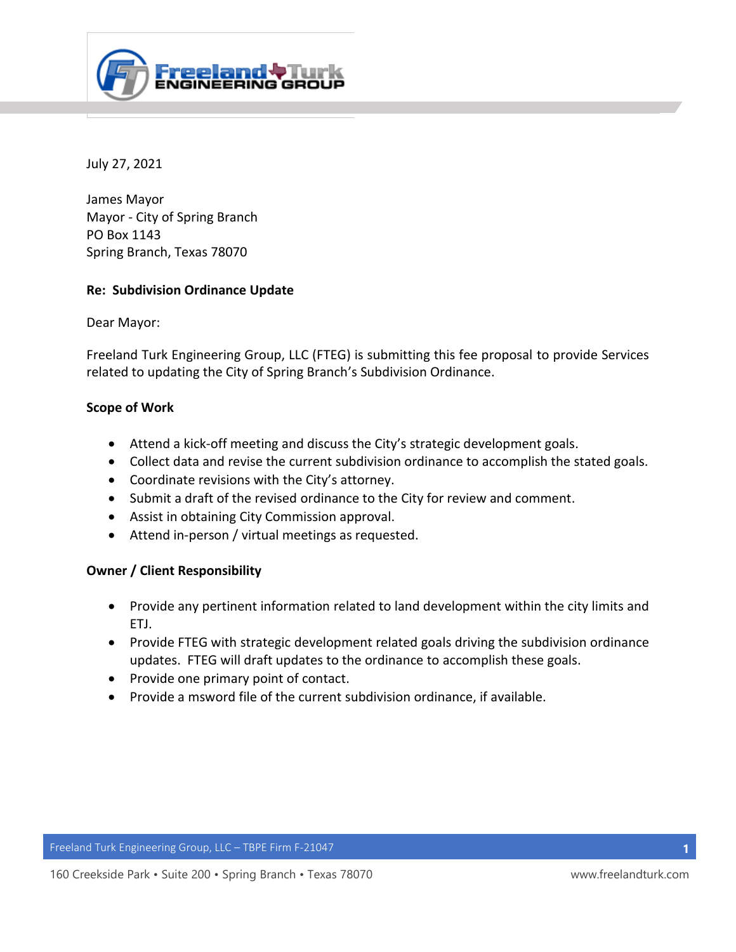

July 27, 2021

James Mayor Mayor - City of Spring Branch PO Box 1143 Spring Branch, Texas 78070

# **Re: Subdivision Ordinance Update**

Dear Mayor:

Freeland Turk Engineering Group, LLC (FTEG) is submitting this fee proposal to provide Services related to updating the City of Spring Branch's Subdivision Ordinance.

## **Scope of Work**

- Attend a kick-off meeting and discuss the City's strategic development goals.
- Collect data and revise the current subdivision ordinance to accomplish the stated goals.
- Coordinate revisions with the City's attorney.
- Submit a draft of the revised ordinance to the City for review and comment.
- Assist in obtaining City Commission approval.
- Attend in-person / virtual meetings as requested.

# **Owner / Client Responsibility**

- Provide any pertinent information related to land development within the city limits and ETJ.
- Provide FTEG with strategic development related goals driving the subdivision ordinance updates. FTEG will draft updates to the ordinance to accomplish these goals.
- Provide one primary point of contact.
- Provide a msword file of the current subdivision ordinance, if available.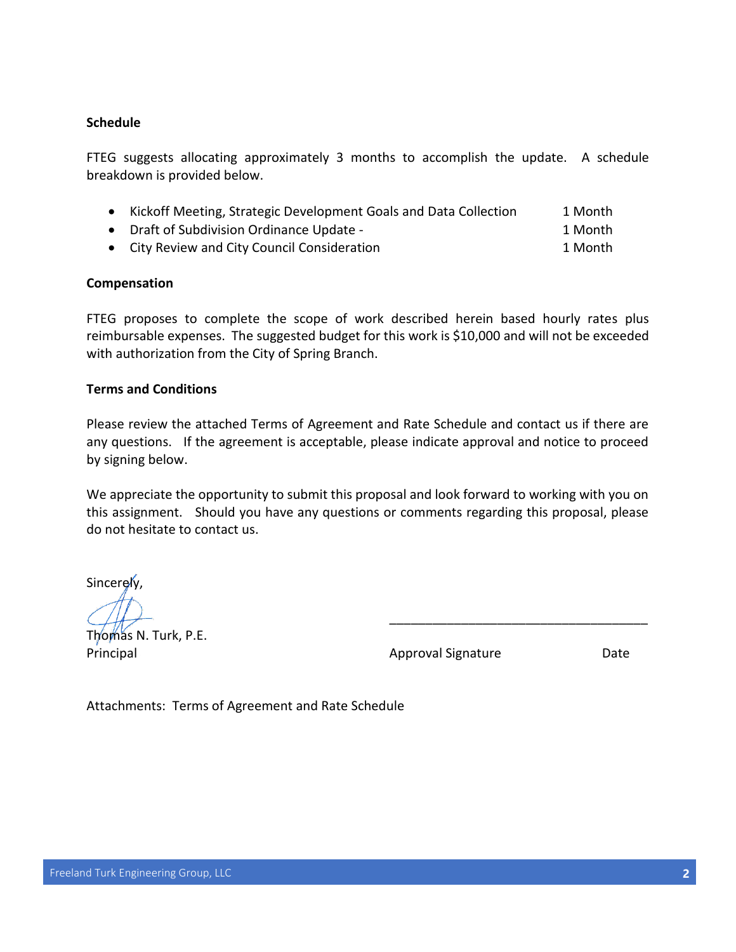# **Schedule**

FTEG suggests allocating approximately 3 months to accomplish the update. A schedule breakdown is provided below.

|  | • Kickoff Meeting, Strategic Development Goals and Data Collection | 1 Month |
|--|--------------------------------------------------------------------|---------|
|--|--------------------------------------------------------------------|---------|

- Draft of Subdivision Ordinance Update 1 Month
- City Review and City Council Consideration **1 Month**

# **Compensation**

FTEG proposes to complete the scope of work described herein based hourly rates plus reimbursable expenses. The suggested budget for this work is \$10,000 and will not be exceeded with authorization from the City of Spring Branch.

# **Terms and Conditions**

Please review the attached Terms of Agreement and Rate Schedule and contact us if there are any questions. If the agreement is acceptable, please indicate approval and notice to proceed by signing below.

We appreciate the opportunity to submit this proposal and look forward to working with you on this assignment. Should you have any questions or comments regarding this proposal, please do not hesitate to contact us.

Sincerely,

Thomas N. Turk, P.E. Principal **Approval Signature** Date

\_\_\_\_\_\_\_\_\_\_\_\_\_\_\_\_\_\_\_\_\_\_\_\_\_\_\_\_\_\_\_\_\_\_\_\_

Attachments: Terms of Agreement and Rate Schedule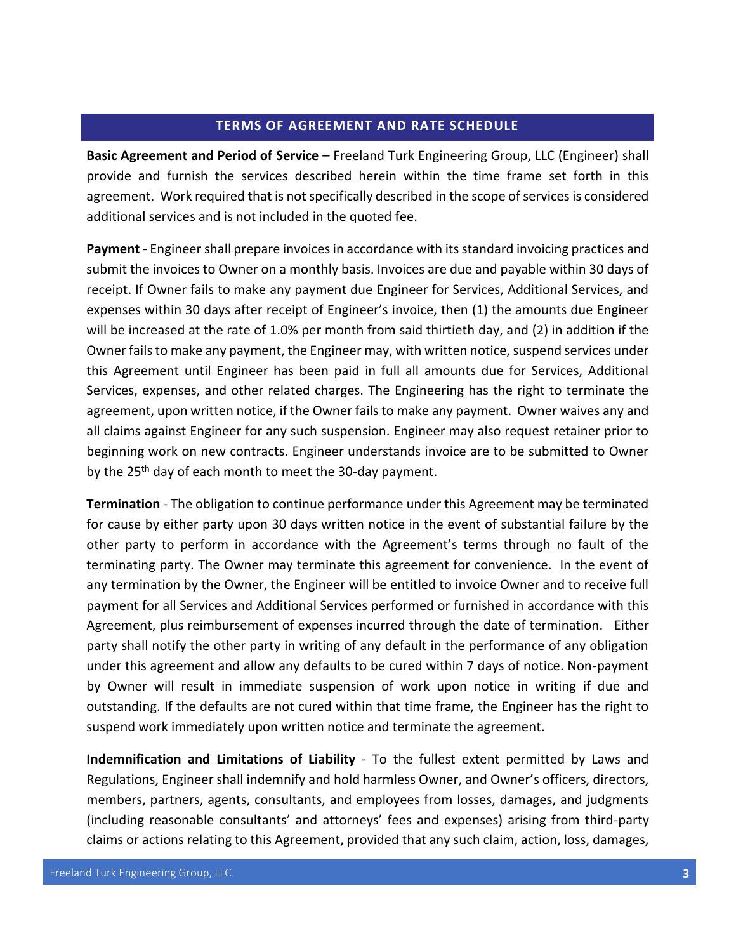## **TERMS OF AGREEMENT AND RATE SCHEDULE**

**Basic Agreement and Period of Service** – Freeland Turk Engineering Group, LLC (Engineer) shall provide and furnish the services described herein within the time frame set forth in this agreement. Work required that is not specifically described in the scope of services is considered additional services and is not included in the quoted fee.

**Payment** - Engineer shall prepare invoices in accordance with its standard invoicing practices and submit the invoices to Owner on a monthly basis. Invoices are due and payable within 30 days of receipt. If Owner fails to make any payment due Engineer for Services, Additional Services, and expenses within 30 days after receipt of Engineer's invoice, then (1) the amounts due Engineer will be increased at the rate of 1.0% per month from said thirtieth day, and (2) in addition if the Owner fails to make any payment, the Engineer may, with written notice, suspend services under this Agreement until Engineer has been paid in full all amounts due for Services, Additional Services, expenses, and other related charges. The Engineering has the right to terminate the agreement, upon written notice, if the Owner fails to make any payment. Owner waives any and all claims against Engineer for any such suspension. Engineer may also request retainer prior to beginning work on new contracts. Engineer understands invoice are to be submitted to Owner by the 25<sup>th</sup> day of each month to meet the 30-day payment.

**Termination** - The obligation to continue performance under this Agreement may be terminated for cause by either party upon 30 days written notice in the event of substantial failure by the other party to perform in accordance with the Agreement's terms through no fault of the terminating party. The Owner may terminate this agreement for convenience. In the event of any termination by the Owner, the Engineer will be entitled to invoice Owner and to receive full payment for all Services and Additional Services performed or furnished in accordance with this Agreement, plus reimbursement of expenses incurred through the date of termination. Either party shall notify the other party in writing of any default in the performance of any obligation under this agreement and allow any defaults to be cured within 7 days of notice. Non-payment by Owner will result in immediate suspension of work upon notice in writing if due and outstanding. If the defaults are not cured within that time frame, the Engineer has the right to suspend work immediately upon written notice and terminate the agreement.

**Indemnification and Limitations of Liability** - To the fullest extent permitted by Laws and Regulations, Engineer shall indemnify and hold harmless Owner, and Owner's officers, directors, members, partners, agents, consultants, and employees from losses, damages, and judgments (including reasonable consultants' and attorneys' fees and expenses) arising from third-party claims or actions relating to this Agreement, provided that any such claim, action, loss, damages,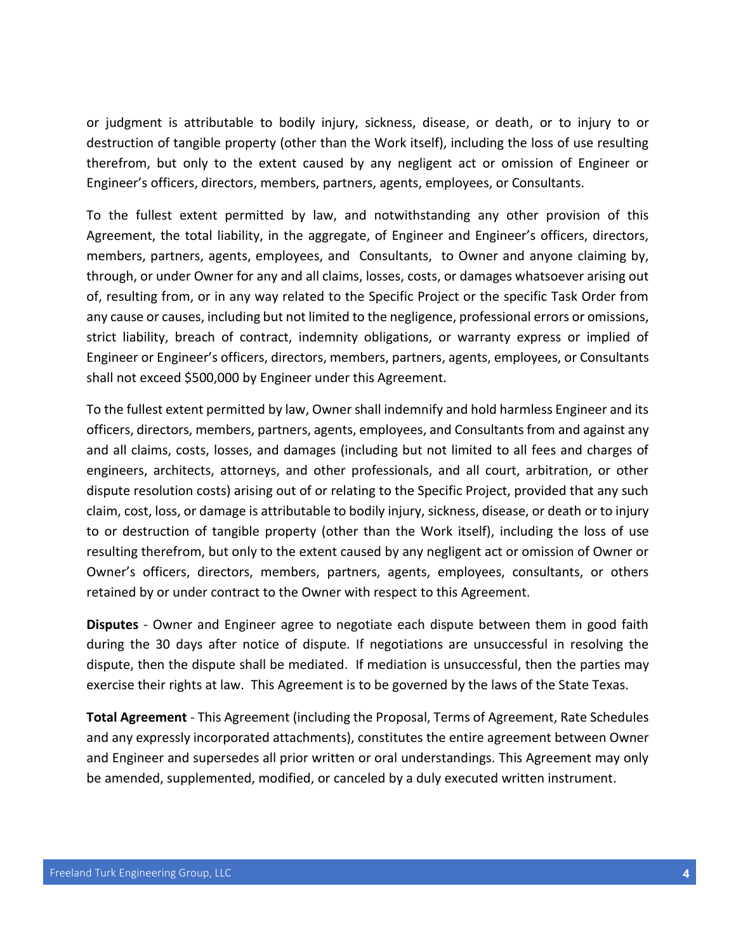or judgment is attributable to bodily injury, sickness, disease, or death, or to injury to or destruction of tangible property (other than the Work itself), including the loss of use resulting therefrom, but only to the extent caused by any negligent act or omission of Engineer or Engineer's officers, directors, members, partners, agents, employees, or Consultants.

To the fullest extent permitted by law, and notwithstanding any other provision of this Agreement, the total liability, in the aggregate, of Engineer and Engineer's officers, directors, members, partners, agents, employees, and Consultants, to Owner and anyone claiming by, through, or under Owner for any and all claims, losses, costs, or damages whatsoever arising out of, resulting from, or in any way related to the Specific Project or the specific Task Order from any cause or causes, including but not limited to the negligence, professional errors or omissions, strict liability, breach of contract, indemnity obligations, or warranty express or implied of Engineer or Engineer's officers, directors, members, partners, agents, employees, or Consultants shall not exceed \$500,000 by Engineer under this Agreement.

To the fullest extent permitted by law, Owner shall indemnify and hold harmless Engineer and its officers, directors, members, partners, agents, employees, and Consultants from and against any and all claims, costs, losses, and damages (including but not limited to all fees and charges of engineers, architects, attorneys, and other professionals, and all court, arbitration, or other dispute resolution costs) arising out of or relating to the Specific Project, provided that any such claim, cost, loss, or damage is attributable to bodily injury, sickness, disease, or death or to injury to or destruction of tangible property (other than the Work itself), including the loss of use resulting therefrom, but only to the extent caused by any negligent act or omission of Owner or Owner's officers, directors, members, partners, agents, employees, consultants, or others retained by or under contract to the Owner with respect to this Agreement.

**Disputes** - Owner and Engineer agree to negotiate each dispute between them in good faith during the 30 days after notice of dispute. If negotiations are unsuccessful in resolving the dispute, then the dispute shall be mediated. If mediation is unsuccessful, then the parties may exercise their rights at law. This Agreement is to be governed by the laws of the State Texas.

**Total Agreement** - This Agreement (including the Proposal, Terms of Agreement, Rate Schedules and any expressly incorporated attachments), constitutes the entire agreement between Owner and Engineer and supersedes all prior written or oral understandings. This Agreement may only be amended, supplemented, modified, or canceled by a duly executed written instrument.